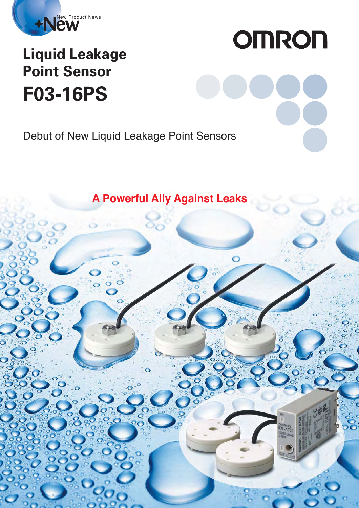

## **F03-16PS Liquid Leakage Point Sensor**

# **OMRON**

Debut of New Liquid Leakage Point Sensors

**A Powerful Ally Against Leaks**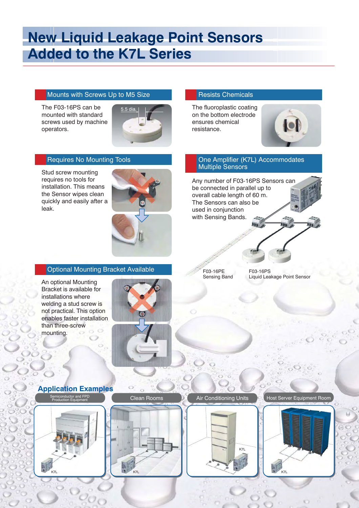### **New Liquid Leakage Point Sensors Added to the K7L Series**

#### Mounts with Screws Up to M5 Size **Resists Chemicals**

The F03-16PS can be mounted with standard screws used by machine operators.



#### Requires No Mounting Tools

Stud screw mounting requires no tools for installation. This means the Sensor wipes clean quickly and easily after a leak.



#### **Optional Mounting Bracket Available**

An optional Mounting Bracket is available for installations where welding a stud screw is not practical. This option enables faster installation than three-screw mounting.



The fluoroplastic coating on the bottom electrode ensures chemical resistance.



#### One Amplifier (K7L) Accommodates Multiple Sensors

Any number of F03-16PS Sensors can be connected in parallel up to overall cable length of 60 m. The Sensors can also be used in conjunction with Sensing Bands.

F03-16PE Sensing Band F03-16PS Liquid Leakage Point Sensor

**Application Examples**



Air Conditioning Units **Production Equipment Room** 



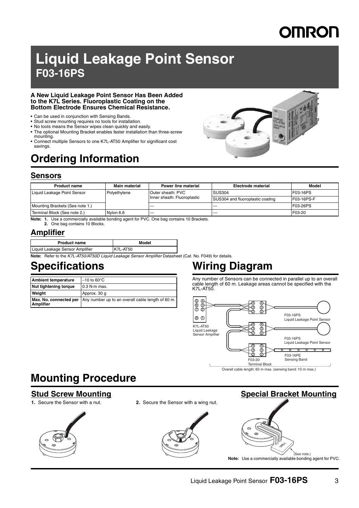## **OMRON**

### **Liquid Leakage Point Sensor F03-16PS**

#### **A New Liquid Leakage Point Sensor Has Been Added to the K7L Series. Fluoroplastic Coating on the Bottom Electrode Ensures Chemical Resistance.**

- Can be used in conjunction with Sensing Bands.
- Stud screw mounting requires no tools for installation.
- No tools means the Sensor wipes clean quickly and easily.
- The optional Mounting Bracket enables faster installation than three-screw mounting.
- Connect multiple Sensors to one K7L-AT50 Amplifier for significant cost savings.

### **Ordering Information**

#### **Sensors**

| <b>Product name</b>             | <b>Main material</b> | Power line material                              | Electrode material               | Model      |
|---------------------------------|----------------------|--------------------------------------------------|----------------------------------|------------|
| Liquid Leakage Point Sensor     | Polyethylene         | Outer sheath: PVC<br>Inner sheath: Fluoroplastic | <b>SUS304</b>                    | F03-16PS   |
|                                 |                      |                                                  | SUS304 and fluoroplastic coating | F03-16PS-F |
| Mounting Brackets (See note 1.) |                      | $- - -$                                          | ---                              | F03-26PS   |
| Terminal Block (See note 2.)    | Nylon 6.6            | $- - -$                                          | $- - -$                          | F03-20     |

**Note: 1.** Use a commercially available bonding agent for PVC. One bag contains 10 Brackets.

**2.** One bag contains 10 Blocks.

#### **Amplifier**

| <b>Product name</b>             | Model    |
|---------------------------------|----------|
| Liquid Leakage Sensor Amplifier | K7L-AT50 |

**Note:** Refer to the K7L-AT50/AT50D Liquid Leakage Sensor Amplifier Datasheet (Cat. No. F049) for details.

| <b>Ambient temperature</b> | $-10$ to 60 $\degree$ C                                                  |
|----------------------------|--------------------------------------------------------------------------|
| Nut tightening torque      | $10.3$ N $\cdot$ m max.                                                  |
| <b>Weight</b>              | Approx. 30 g                                                             |
| <b>Amplifier</b>           | Max. No. connected per Any number up to an overall cable length of 60 m. |

### **Specifications Wiring Diagram**

Any number of Sensors can be connected in parallel up to an overall cable length of 60 m. Leakage areas cannot be specified with the K7L-AT50.



### **Mounting Procedure**

#### **Stud Screw Mounting**



**1.** Secure the Sensor with a nut. **2.** Secure the Sensor with a wing nut.



### **Special Bracket Mounting**

**Note:** Use a commercially available bonding agent for PVC.

(See note.)